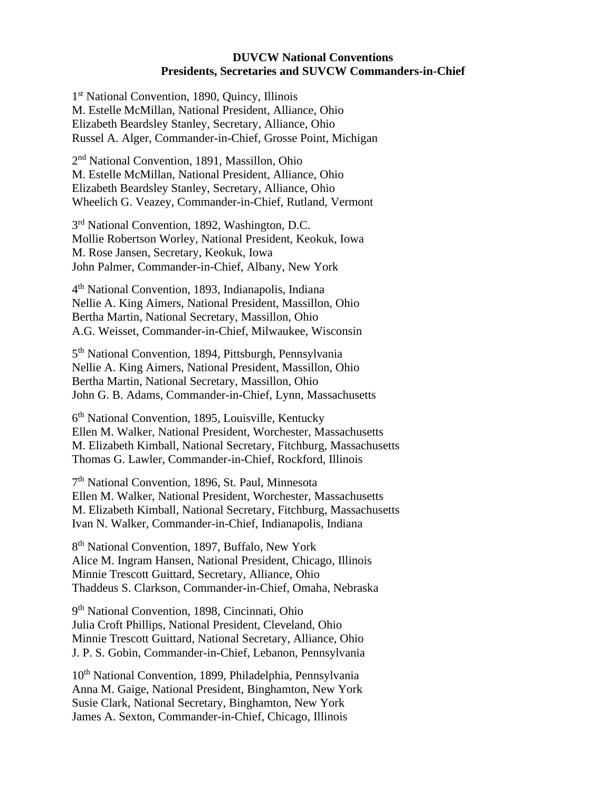## **DUVCW National Conventions Presidents, Secretaries and SUVCW Commanders-in-Chief**

1 st National Convention, 1890, Quincy, Illinois M. Estelle McMillan, National President, Alliance, Ohio Elizabeth Beardsley Stanley, Secretary, Alliance, Ohio Russel A. Alger, Commander-in-Chief, Grosse Point, Michigan

2<sup>nd</sup> National Convention, 1891, Massillon, Ohio M. Estelle McMillan, National President, Alliance, Ohio Elizabeth Beardsley Stanley, Secretary, Alliance, Ohio Wheelich G. Veazey, Commander-in-Chief, Rutland, Vermont

3<sup>rd</sup> National Convention, 1892, Washington, D.C. Mollie Robertson Worley, National President, Keokuk, Iowa M. Rose Jansen, Secretary, Keokuk, Iowa John Palmer, Commander-in-Chief, Albany, New York

4 th National Convention, 1893, Indianapolis, Indiana Nellie A. King Aimers, National President, Massillon, Ohio Bertha Martin, National Secretary, Massillon, Ohio A.G. Weisset, Commander-in-Chief, Milwaukee, Wisconsin

5<sup>th</sup> National Convention, 1894, Pittsburgh, Pennsylvania Nellie A. King Aimers, National President, Massillon, Ohio Bertha Martin, National Secretary, Massillon, Ohio John G. B. Adams, Commander-in-Chief, Lynn, Massachusetts

6<sup>th</sup> National Convention, 1895, Louisville, Kentucky Ellen M. Walker, National President, Worchester, Massachusetts M. Elizabeth Kimball, National Secretary, Fitchburg, Massachusetts Thomas G. Lawler, Commander-in-Chief, Rockford, Illinois

7 th National Convention, 1896, St. Paul, Minnesota Ellen M. Walker, National President, Worchester, Massachusetts M. Elizabeth Kimball, National Secretary, Fitchburg, Massachusetts Ivan N. Walker, Commander-in-Chief, Indianapolis, Indiana

8<sup>th</sup> National Convention, 1897, Buffalo, New York Alice M. Ingram Hansen, National President, Chicago, Illinois Minnie Trescott Guittard, Secretary, Alliance, Ohio Thaddeus S. Clarkson, Commander-in-Chief, Omaha, Nebraska

9<sup>th</sup> National Convention, 1898, Cincinnati, Ohio Julia Croft Phillips, National President, Cleveland, Ohio Minnie Trescott Guittard, National Secretary, Alliance, Ohio J. P. S. Gobin, Commander-in-Chief, Lebanon, Pennsylvania

10<sup>th</sup> National Convention, 1899, Philadelphia, Pennsylvania Anna M. Gaige, National President, Binghamton, New York Susie Clark, National Secretary, Binghamton, New York James A. Sexton, Commander-in-Chief, Chicago, Illinois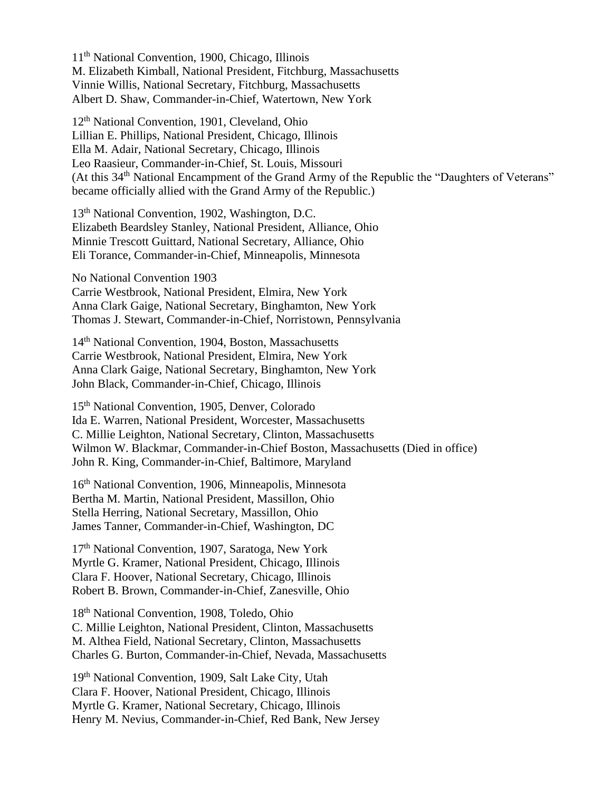11th National Convention, 1900, Chicago, Illinois M. Elizabeth Kimball, National President, Fitchburg, Massachusetts Vinnie Willis, National Secretary, Fitchburg, Massachusetts Albert D. Shaw, Commander-in-Chief, Watertown, New York

12th National Convention, 1901, Cleveland, Ohio Lillian E. Phillips, National President, Chicago, Illinois Ella M. Adair, National Secretary, Chicago, Illinois Leo Raasieur, Commander-in-Chief, St. Louis, Missouri (At this 34<sup>th</sup> National Encampment of the Grand Army of the Republic the "Daughters of Veterans" became officially allied with the Grand Army of the Republic.)

13th National Convention, 1902, Washington, D.C. Elizabeth Beardsley Stanley, National President, Alliance, Ohio Minnie Trescott Guittard, National Secretary, Alliance, Ohio Eli Torance, Commander-in-Chief, Minneapolis, Minnesota

No National Convention 1903 Carrie Westbrook, National President, Elmira, New York Anna Clark Gaige, National Secretary, Binghamton, New York Thomas J. Stewart, Commander-in-Chief, Norristown, Pennsylvania

14th National Convention, 1904, Boston, Massachusetts Carrie Westbrook, National President, Elmira, New York Anna Clark Gaige, National Secretary, Binghamton, New York John Black, Commander-in-Chief, Chicago, Illinois

15th National Convention, 1905, Denver, Colorado Ida E. Warren, National President, Worcester, Massachusetts C. Millie Leighton, National Secretary, Clinton, Massachusetts Wilmon W. Blackmar, Commander-in-Chief Boston, Massachusetts (Died in office) John R. King, Commander-in-Chief, Baltimore, Maryland

16th National Convention, 1906, Minneapolis, Minnesota Bertha M. Martin, National President, Massillon, Ohio Stella Herring, National Secretary, Massillon, Ohio James Tanner, Commander-in-Chief, Washington, DC

17<sup>th</sup> National Convention, 1907, Saratoga, New York Myrtle G. Kramer, National President, Chicago, Illinois Clara F. Hoover, National Secretary, Chicago, Illinois Robert B. Brown, Commander-in-Chief, Zanesville, Ohio

18th National Convention, 1908, Toledo, Ohio C. Millie Leighton, National President, Clinton, Massachusetts M. Althea Field, National Secretary, Clinton, Massachusetts Charles G. Burton, Commander-in-Chief, Nevada, Massachusetts

19th National Convention, 1909, Salt Lake City, Utah Clara F. Hoover, National President, Chicago, Illinois Myrtle G. Kramer, National Secretary, Chicago, Illinois Henry M. Nevius, Commander-in-Chief, Red Bank, New Jersey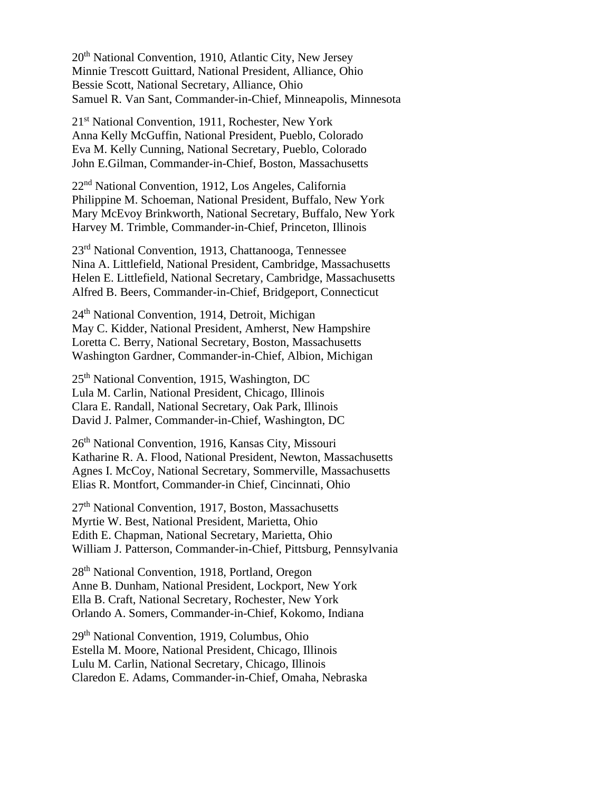20th National Convention, 1910, Atlantic City, New Jersey Minnie Trescott Guittard, National President, Alliance, Ohio Bessie Scott, National Secretary, Alliance, Ohio Samuel R. Van Sant, Commander-in-Chief, Minneapolis, Minnesota

21st National Convention, 1911, Rochester, New York Anna Kelly McGuffin, National President, Pueblo, Colorado Eva M. Kelly Cunning, National Secretary, Pueblo, Colorado John E.Gilman, Commander-in-Chief, Boston, Massachusetts

22nd National Convention, 1912, Los Angeles, California Philippine M. Schoeman, National President, Buffalo, New York Mary McEvoy Brinkworth, National Secretary, Buffalo, New York Harvey M. Trimble, Commander-in-Chief, Princeton, Illinois

23rd National Convention, 1913, Chattanooga, Tennessee Nina A. Littlefield, National President, Cambridge, Massachusetts Helen E. Littlefield, National Secretary, Cambridge, Massachusetts Alfred B. Beers, Commander-in-Chief, Bridgeport, Connecticut

24th National Convention, 1914, Detroit, Michigan May C. Kidder, National President, Amherst, New Hampshire Loretta C. Berry, National Secretary, Boston, Massachusetts Washington Gardner, Commander-in-Chief, Albion, Michigan

25th National Convention, 1915, Washington, DC Lula M. Carlin, National President, Chicago, Illinois Clara E. Randall, National Secretary, Oak Park, Illinois David J. Palmer, Commander-in-Chief, Washington, DC

26th National Convention, 1916, Kansas City, Missouri Katharine R. A. Flood, National President, Newton, Massachusetts Agnes I. McCoy, National Secretary, Sommerville, Massachusetts Elias R. Montfort, Commander-in Chief, Cincinnati, Ohio

27th National Convention, 1917, Boston, Massachusetts Myrtie W. Best, National President, Marietta, Ohio Edith E. Chapman, National Secretary, Marietta, Ohio William J. Patterson, Commander-in-Chief, Pittsburg, Pennsylvania

28th National Convention, 1918, Portland, Oregon Anne B. Dunham, National President, Lockport, New York Ella B. Craft, National Secretary, Rochester, New York Orlando A. Somers, Commander-in-Chief, Kokomo, Indiana

29th National Convention, 1919, Columbus, Ohio Estella M. Moore, National President, Chicago, Illinois Lulu M. Carlin, National Secretary, Chicago, Illinois Claredon E. Adams, Commander-in-Chief, Omaha, Nebraska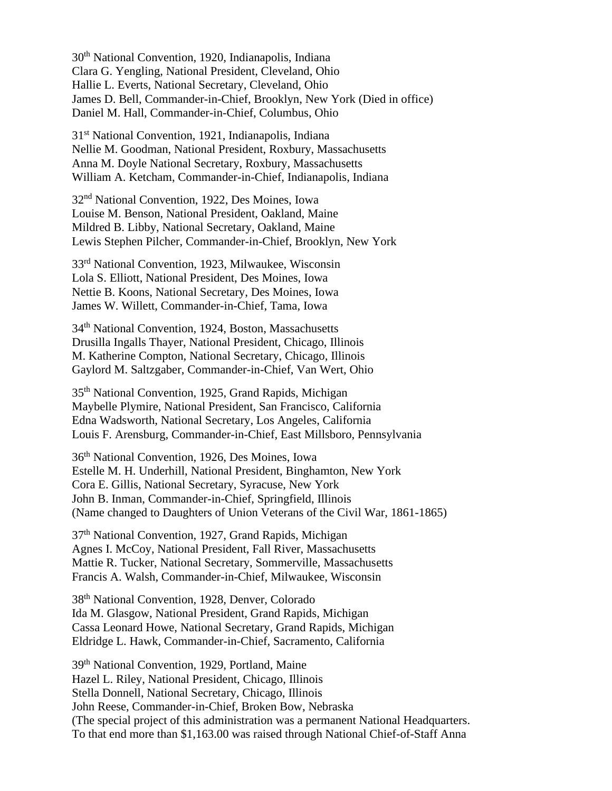30th National Convention, 1920, Indianapolis, Indiana Clara G. Yengling, National President, Cleveland, Ohio Hallie L. Everts, National Secretary, Cleveland, Ohio James D. Bell, Commander-in-Chief, Brooklyn, New York (Died in office) Daniel M. Hall, Commander-in-Chief, Columbus, Ohio

31st National Convention, 1921, Indianapolis, Indiana Nellie M. Goodman, National President, Roxbury, Massachusetts Anna M. Doyle National Secretary, Roxbury, Massachusetts William A. Ketcham, Commander-in-Chief, Indianapolis, Indiana

32nd National Convention, 1922, Des Moines, Iowa Louise M. Benson, National President, Oakland, Maine Mildred B. Libby, National Secretary, Oakland, Maine Lewis Stephen Pilcher, Commander-in-Chief, Brooklyn, New York

33rd National Convention, 1923, Milwaukee, Wisconsin Lola S. Elliott, National President, Des Moines, Iowa Nettie B. Koons, National Secretary, Des Moines, Iowa James W. Willett, Commander-in-Chief, Tama, Iowa

34th National Convention, 1924, Boston, Massachusetts Drusilla Ingalls Thayer, National President, Chicago, Illinois M. Katherine Compton, National Secretary, Chicago, Illinois Gaylord M. Saltzgaber, Commander-in-Chief, Van Wert, Ohio

35th National Convention, 1925, Grand Rapids, Michigan Maybelle Plymire, National President, San Francisco, California Edna Wadsworth, National Secretary, Los Angeles, California Louis F. Arensburg, Commander-in-Chief, East Millsboro, Pennsylvania

36th National Convention, 1926, Des Moines, Iowa Estelle M. H. Underhill, National President, Binghamton, New York Cora E. Gillis, National Secretary, Syracuse, New York John B. Inman, Commander-in-Chief, Springfield, Illinois (Name changed to Daughters of Union Veterans of the Civil War, 1861-1865)

37th National Convention, 1927, Grand Rapids, Michigan Agnes I. McCoy, National President, Fall River, Massachusetts Mattie R. Tucker, National Secretary, Sommerville, Massachusetts Francis A. Walsh, Commander-in-Chief, Milwaukee, Wisconsin

38th National Convention, 1928, Denver, Colorado Ida M. Glasgow, National President, Grand Rapids, Michigan Cassa Leonard Howe, National Secretary, Grand Rapids, Michigan Eldridge L. Hawk, Commander-in-Chief, Sacramento, California

39th National Convention, 1929, Portland, Maine Hazel L. Riley, National President, Chicago, Illinois Stella Donnell, National Secretary, Chicago, Illinois John Reese, Commander-in-Chief, Broken Bow, Nebraska (The special project of this administration was a permanent National Headquarters. To that end more than \$1,163.00 was raised through National Chief-of-Staff Anna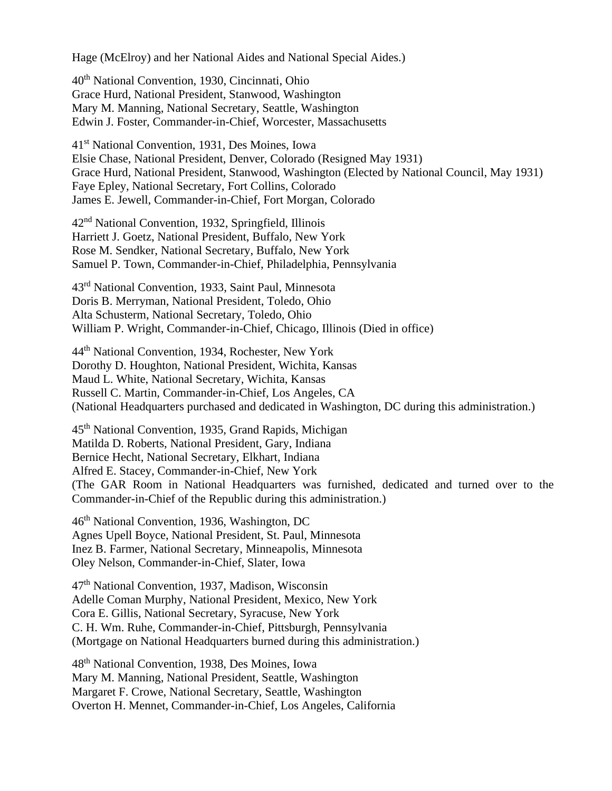Hage (McElroy) and her National Aides and National Special Aides.)

40th National Convention, 1930, Cincinnati, Ohio Grace Hurd, National President, Stanwood, Washington Mary M. Manning, National Secretary, Seattle, Washington Edwin J. Foster, Commander-in-Chief, Worcester, Massachusetts

41st National Convention, 1931, Des Moines, Iowa Elsie Chase, National President, Denver, Colorado (Resigned May 1931) Grace Hurd, National President, Stanwood, Washington (Elected by National Council, May 1931) Faye Epley, National Secretary, Fort Collins, Colorado James E. Jewell, Commander-in-Chief, Fort Morgan, Colorado

42nd National Convention, 1932, Springfield, Illinois Harriett J. Goetz, National President, Buffalo, New York Rose M. Sendker, National Secretary, Buffalo, New York Samuel P. Town, Commander-in-Chief, Philadelphia, Pennsylvania

43rd National Convention, 1933, Saint Paul, Minnesota Doris B. Merryman, National President, Toledo, Ohio Alta Schusterm, National Secretary, Toledo, Ohio William P. Wright, Commander-in-Chief, Chicago, Illinois (Died in office)

44th National Convention, 1934, Rochester, New York Dorothy D. Houghton, National President, Wichita, Kansas Maud L. White, National Secretary, Wichita, Kansas Russell C. Martin, Commander-in-Chief, Los Angeles, CA (National Headquarters purchased and dedicated in Washington, DC during this administration.)

45th National Convention, 1935, Grand Rapids, Michigan Matilda D. Roberts, National President, Gary, Indiana Bernice Hecht, National Secretary, Elkhart, Indiana Alfred E. Stacey, Commander-in-Chief, New York (The GAR Room in National Headquarters was furnished, dedicated and turned over to the Commander-in-Chief of the Republic during this administration.)

46th National Convention, 1936, Washington, DC Agnes Upell Boyce, National President, St. Paul, Minnesota Inez B. Farmer, National Secretary, Minneapolis, Minnesota Oley Nelson, Commander-in-Chief, Slater, Iowa

47th National Convention, 1937, Madison, Wisconsin Adelle Coman Murphy, National President, Mexico, New York Cora E. Gillis, National Secretary, Syracuse, New York C. H. Wm. Ruhe, Commander-in-Chief, Pittsburgh, Pennsylvania (Mortgage on National Headquarters burned during this administration.)

48th National Convention, 1938, Des Moines, Iowa Mary M. Manning, National President, Seattle, Washington Margaret F. Crowe, National Secretary, Seattle, Washington Overton H. Mennet, Commander-in-Chief, Los Angeles, California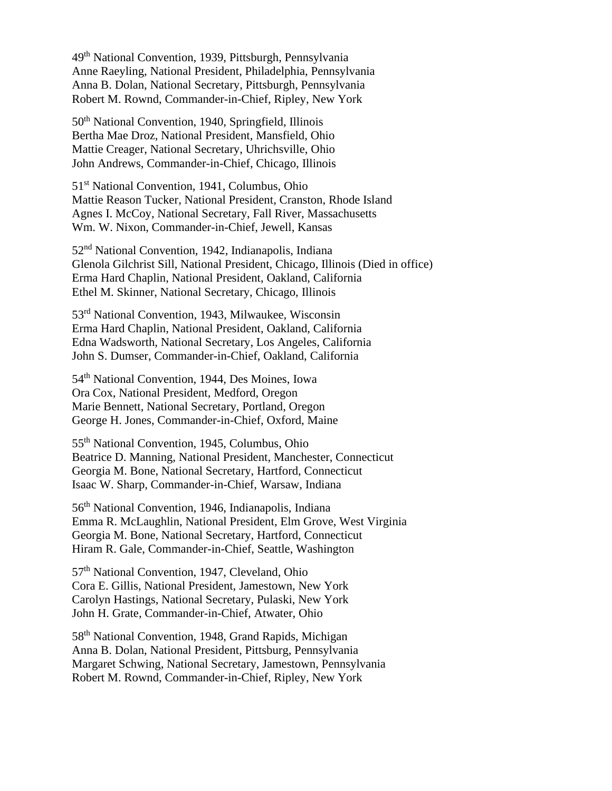49th National Convention, 1939, Pittsburgh, Pennsylvania Anne Raeyling, National President, Philadelphia, Pennsylvania Anna B. Dolan, National Secretary, Pittsburgh, Pennsylvania Robert M. Rownd, Commander-in-Chief, Ripley, New York

50th National Convention, 1940, Springfield, Illinois Bertha Mae Droz, National President, Mansfield, Ohio Mattie Creager, National Secretary, Uhrichsville, Ohio John Andrews, Commander-in-Chief, Chicago, Illinois

51<sup>st</sup> National Convention, 1941, Columbus, Ohio Mattie Reason Tucker, National President, Cranston, Rhode Island Agnes I. McCoy, National Secretary, Fall River, Massachusetts Wm. W. Nixon, Commander-in-Chief, Jewell, Kansas

52nd National Convention, 1942, Indianapolis, Indiana Glenola Gilchrist Sill, National President, Chicago, Illinois (Died in office) Erma Hard Chaplin, National President, Oakland, California Ethel M. Skinner, National Secretary, Chicago, Illinois

53rd National Convention, 1943, Milwaukee, Wisconsin Erma Hard Chaplin, National President, Oakland, California Edna Wadsworth, National Secretary, Los Angeles, California John S. Dumser, Commander-in-Chief, Oakland, California

54th National Convention, 1944, Des Moines, Iowa Ora Cox, National President, Medford, Oregon Marie Bennett, National Secretary, Portland, Oregon George H. Jones, Commander-in-Chief, Oxford, Maine

55th National Convention, 1945, Columbus, Ohio Beatrice D. Manning, National President, Manchester, Connecticut Georgia M. Bone, National Secretary, Hartford, Connecticut Isaac W. Sharp, Commander-in-Chief, Warsaw, Indiana

56th National Convention, 1946, Indianapolis, Indiana Emma R. McLaughlin, National President, Elm Grove, West Virginia Georgia M. Bone, National Secretary, Hartford, Connecticut Hiram R. Gale, Commander-in-Chief, Seattle, Washington

57th National Convention, 1947, Cleveland, Ohio Cora E. Gillis, National President, Jamestown, New York Carolyn Hastings, National Secretary, Pulaski, New York John H. Grate, Commander-in-Chief, Atwater, Ohio

58th National Convention, 1948, Grand Rapids, Michigan Anna B. Dolan, National President, Pittsburg, Pennsylvania Margaret Schwing, National Secretary, Jamestown, Pennsylvania Robert M. Rownd, Commander-in-Chief, Ripley, New York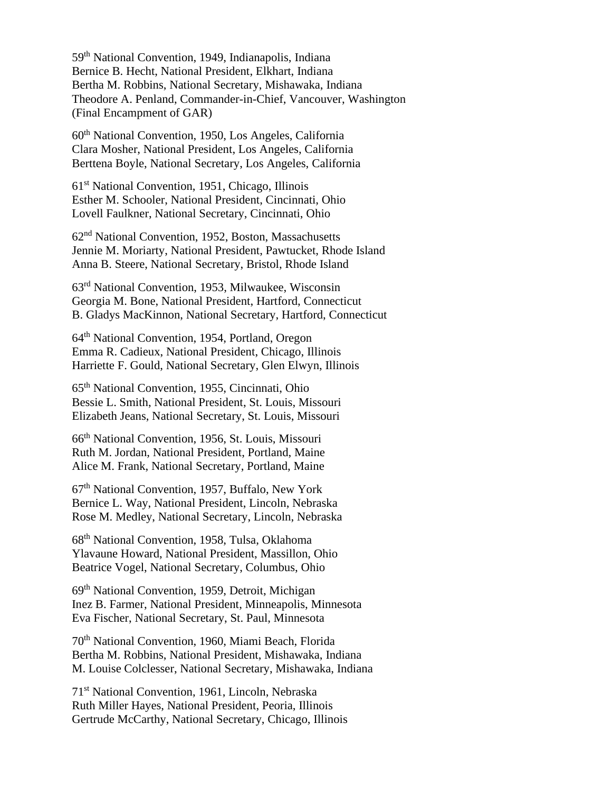59th National Convention, 1949, Indianapolis, Indiana Bernice B. Hecht, National President, Elkhart, Indiana Bertha M. Robbins, National Secretary, Mishawaka, Indiana Theodore A. Penland, Commander-in-Chief, Vancouver, Washington (Final Encampment of GAR)

60th National Convention, 1950, Los Angeles, California Clara Mosher, National President, Los Angeles, California Berttena Boyle, National Secretary, Los Angeles, California

61st National Convention, 1951, Chicago, Illinois Esther M. Schooler, National President, Cincinnati, Ohio Lovell Faulkner, National Secretary, Cincinnati, Ohio

62nd National Convention, 1952, Boston, Massachusetts Jennie M. Moriarty, National President, Pawtucket, Rhode Island Anna B. Steere, National Secretary, Bristol, Rhode Island

63rd National Convention, 1953, Milwaukee, Wisconsin Georgia M. Bone, National President, Hartford, Connecticut B. Gladys MacKinnon, National Secretary, Hartford, Connecticut

64th National Convention, 1954, Portland, Oregon Emma R. Cadieux, National President, Chicago, Illinois Harriette F. Gould, National Secretary, Glen Elwyn, Illinois

65th National Convention, 1955, Cincinnati, Ohio Bessie L. Smith, National President, St. Louis, Missouri Elizabeth Jeans, National Secretary, St. Louis, Missouri

66th National Convention, 1956, St. Louis, Missouri Ruth M. Jordan, National President, Portland, Maine Alice M. Frank, National Secretary, Portland, Maine

67th National Convention, 1957, Buffalo, New York Bernice L. Way, National President, Lincoln, Nebraska Rose M. Medley, National Secretary, Lincoln, Nebraska

68th National Convention, 1958, Tulsa, Oklahoma Ylavaune Howard, National President, Massillon, Ohio Beatrice Vogel, National Secretary, Columbus, Ohio

69th National Convention, 1959, Detroit, Michigan Inez B. Farmer, National President, Minneapolis, Minnesota Eva Fischer, National Secretary, St. Paul, Minnesota

70th National Convention, 1960, Miami Beach, Florida Bertha M. Robbins, National President, Mishawaka, Indiana M. Louise Colclesser, National Secretary, Mishawaka, Indiana

71st National Convention, 1961, Lincoln, Nebraska Ruth Miller Hayes, National President, Peoria, Illinois Gertrude McCarthy, National Secretary, Chicago, Illinois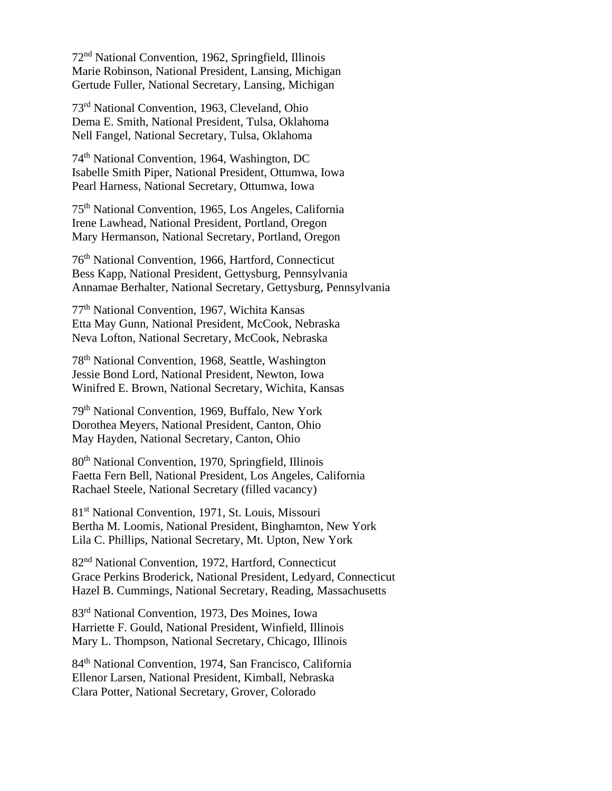72nd National Convention, 1962, Springfield, Illinois Marie Robinson, National President, Lansing, Michigan Gertude Fuller, National Secretary, Lansing, Michigan

73rd National Convention, 1963, Cleveland, Ohio Dema E. Smith, National President, Tulsa, Oklahoma Nell Fangel, National Secretary, Tulsa, Oklahoma

74th National Convention, 1964, Washington, DC Isabelle Smith Piper, National President, Ottumwa, Iowa Pearl Harness, National Secretary, Ottumwa, Iowa

75th National Convention, 1965, Los Angeles, California Irene Lawhead, National President, Portland, Oregon Mary Hermanson, National Secretary, Portland, Oregon

76th National Convention, 1966, Hartford, Connecticut Bess Kapp, National President, Gettysburg, Pennsylvania Annamae Berhalter, National Secretary, Gettysburg, Pennsylvania

77th National Convention, 1967, Wichita Kansas Etta May Gunn, National President, McCook, Nebraska Neva Lofton, National Secretary, McCook, Nebraska

78th National Convention, 1968, Seattle, Washington Jessie Bond Lord, National President, Newton, Iowa Winifred E. Brown, National Secretary, Wichita, Kansas

79th National Convention, 1969, Buffalo, New York Dorothea Meyers, National President, Canton, Ohio May Hayden, National Secretary, Canton, Ohio

80th National Convention, 1970, Springfield, Illinois Faetta Fern Bell, National President, Los Angeles, California Rachael Steele, National Secretary (filled vacancy)

81st National Convention, 1971, St. Louis, Missouri Bertha M. Loomis, National President, Binghamton, New York Lila C. Phillips, National Secretary, Mt. Upton, New York

82nd National Convention, 1972, Hartford, Connecticut Grace Perkins Broderick, National President, Ledyard, Connecticut Hazel B. Cummings, National Secretary, Reading, Massachusetts

83rd National Convention, 1973, Des Moines, Iowa Harriette F. Gould, National President, Winfield, Illinois Mary L. Thompson, National Secretary, Chicago, Illinois

84th National Convention, 1974, San Francisco, California Ellenor Larsen, National President, Kimball, Nebraska Clara Potter, National Secretary, Grover, Colorado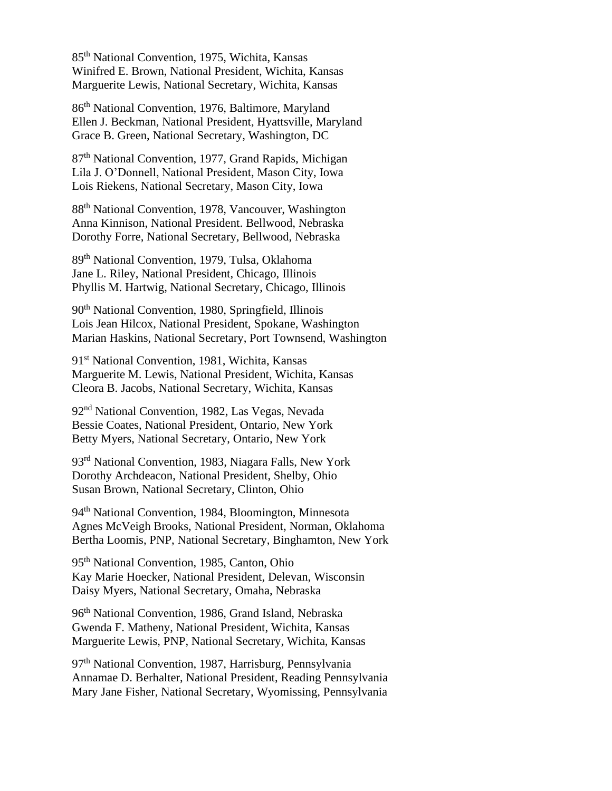85 th National Convention, 1975, Wichita, Kansas Winifred E. Brown, National President, Wichita, Kansas Marguerite Lewis, National Secretary, Wichita, Kansas

86th National Convention, 1976, Baltimore, Maryland Ellen J. Beckman, National President, Hyattsville, Maryland Grace B. Green, National Secretary, Washington, DC

87th National Convention, 1977, Grand Rapids, Michigan Lila J. O'Donnell, National President, Mason City, Iowa Lois Riekens, National Secretary, Mason City, Iowa

88th National Convention, 1978, Vancouver, Washington Anna Kinnison, National President. Bellwood, Nebraska Dorothy Forre, National Secretary, Bellwood, Nebraska

89th National Convention, 1979, Tulsa, Oklahoma Jane L. Riley, National President, Chicago, Illinois Phyllis M. Hartwig, National Secretary, Chicago, Illinois

90th National Convention, 1980, Springfield, Illinois Lois Jean Hilcox, National President, Spokane, Washington Marian Haskins, National Secretary, Port Townsend, Washington

91st National Convention, 1981, Wichita, Kansas Marguerite M. Lewis, National President, Wichita, Kansas Cleora B. Jacobs, National Secretary, Wichita, Kansas

92nd National Convention, 1982, Las Vegas, Nevada Bessie Coates, National President, Ontario, New York Betty Myers, National Secretary, Ontario, New York

93rd National Convention, 1983, Niagara Falls, New York Dorothy Archdeacon, National President, Shelby, Ohio Susan Brown, National Secretary, Clinton, Ohio

94th National Convention, 1984, Bloomington, Minnesota Agnes McVeigh Brooks, National President, Norman, Oklahoma Bertha Loomis, PNP, National Secretary, Binghamton, New York

95<sup>th</sup> National Convention, 1985, Canton, Ohio Kay Marie Hoecker, National President, Delevan, Wisconsin Daisy Myers, National Secretary, Omaha, Nebraska

96<sup>th</sup> National Convention, 1986, Grand Island, Nebraska Gwenda F. Matheny, National President, Wichita, Kansas Marguerite Lewis, PNP, National Secretary, Wichita, Kansas

97<sup>th</sup> National Convention, 1987, Harrisburg, Pennsylvania Annamae D. Berhalter, National President, Reading Pennsylvania Mary Jane Fisher, National Secretary, Wyomissing, Pennsylvania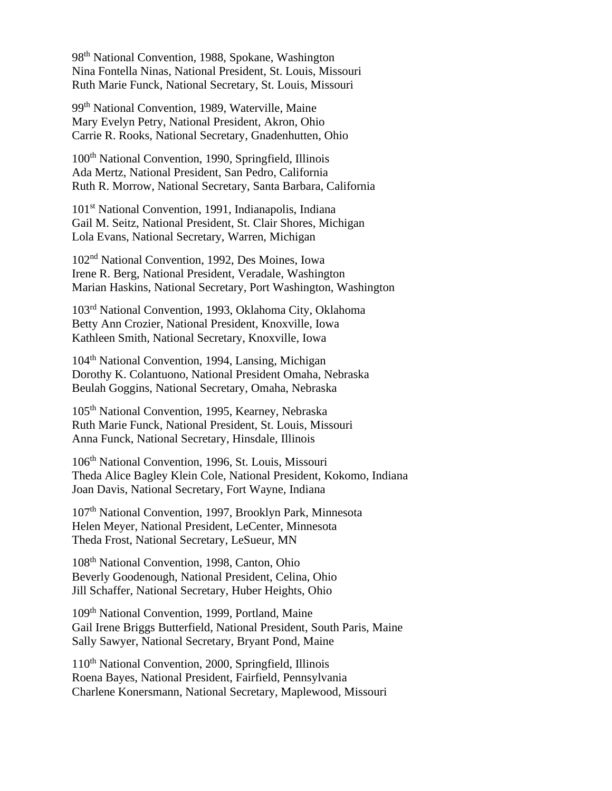98th National Convention, 1988, Spokane, Washington Nina Fontella Ninas, National President, St. Louis, Missouri Ruth Marie Funck, National Secretary, St. Louis, Missouri

99th National Convention, 1989, Waterville, Maine Mary Evelyn Petry, National President, Akron, Ohio Carrie R. Rooks, National Secretary, Gnadenhutten, Ohio

100th National Convention, 1990, Springfield, Illinois Ada Mertz, National President, San Pedro, California Ruth R. Morrow, National Secretary, Santa Barbara, California

101st National Convention, 1991, Indianapolis, Indiana Gail M. Seitz, National President, St. Clair Shores, Michigan Lola Evans, National Secretary, Warren, Michigan

102nd National Convention, 1992, Des Moines, Iowa Irene R. Berg, National President, Veradale, Washington Marian Haskins, National Secretary, Port Washington, Washington

103rd National Convention, 1993, Oklahoma City, Oklahoma Betty Ann Crozier, National President, Knoxville, Iowa Kathleen Smith, National Secretary, Knoxville, Iowa

104<sup>th</sup> National Convention, 1994, Lansing, Michigan Dorothy K. Colantuono, National President Omaha, Nebraska Beulah Goggins, National Secretary, Omaha, Nebraska

105th National Convention, 1995, Kearney, Nebraska Ruth Marie Funck, National President, St. Louis, Missouri Anna Funck, National Secretary, Hinsdale, Illinois

106th National Convention, 1996, St. Louis, Missouri Theda Alice Bagley Klein Cole, National President, Kokomo, Indiana Joan Davis, National Secretary, Fort Wayne, Indiana

107th National Convention, 1997, Brooklyn Park, Minnesota Helen Meyer, National President, LeCenter, Minnesota Theda Frost, National Secretary, LeSueur, MN

108th National Convention, 1998, Canton, Ohio Beverly Goodenough, National President, Celina, Ohio Jill Schaffer, National Secretary, Huber Heights, Ohio

109th National Convention, 1999, Portland, Maine Gail Irene Briggs Butterfield, National President, South Paris, Maine Sally Sawyer, National Secretary, Bryant Pond, Maine

110th National Convention, 2000, Springfield, Illinois Roena Bayes, National President, Fairfield, Pennsylvania Charlene Konersmann, National Secretary, Maplewood, Missouri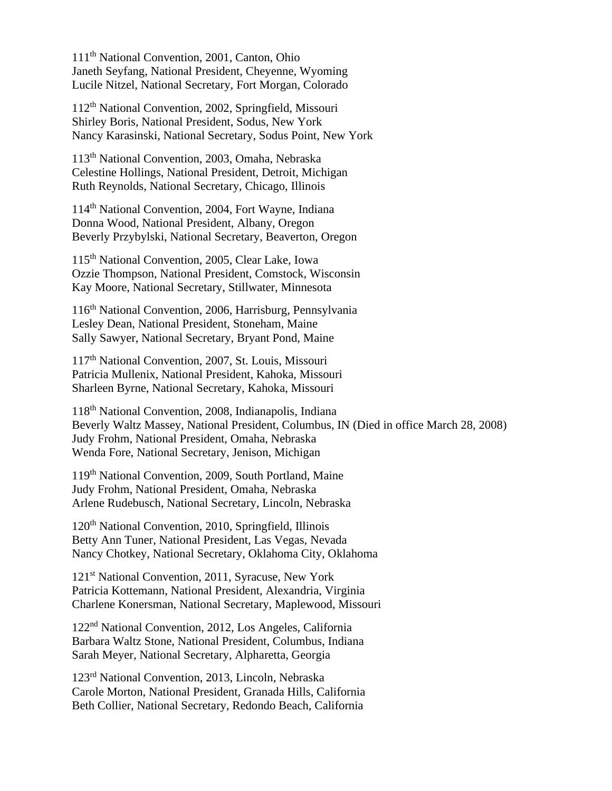111th National Convention, 2001, Canton, Ohio Janeth Seyfang, National President, Cheyenne, Wyoming Lucile Nitzel, National Secretary, Fort Morgan, Colorado

112th National Convention, 2002, Springfield, Missouri Shirley Boris, National President, Sodus, New York Nancy Karasinski, National Secretary, Sodus Point, New York

113th National Convention, 2003, Omaha, Nebraska Celestine Hollings, National President, Detroit, Michigan Ruth Reynolds, National Secretary, Chicago, Illinois

114th National Convention, 2004, Fort Wayne, Indiana Donna Wood, National President, Albany, Oregon Beverly Przybylski, National Secretary, Beaverton, Oregon

115th National Convention, 2005, Clear Lake, Iowa Ozzie Thompson, National President, Comstock, Wisconsin Kay Moore, National Secretary, Stillwater, Minnesota

116th National Convention, 2006, Harrisburg, Pennsylvania Lesley Dean, National President, Stoneham, Maine Sally Sawyer, National Secretary, Bryant Pond, Maine

117th National Convention, 2007, St. Louis, Missouri Patricia Mullenix, National President, Kahoka, Missouri Sharleen Byrne, National Secretary, Kahoka, Missouri

118th National Convention, 2008, Indianapolis, Indiana Beverly Waltz Massey, National President, Columbus, IN (Died in office March 28, 2008) Judy Frohm, National President, Omaha, Nebraska Wenda Fore, National Secretary, Jenison, Michigan

119th National Convention, 2009, South Portland, Maine Judy Frohm, National President, Omaha, Nebraska Arlene Rudebusch, National Secretary, Lincoln, Nebraska

120th National Convention, 2010, Springfield, Illinois Betty Ann Tuner, National President, Las Vegas, Nevada Nancy Chotkey, National Secretary, Oklahoma City, Oklahoma

121<sup>st</sup> National Convention, 2011, Syracuse, New York Patricia Kottemann, National President, Alexandria, Virginia Charlene Konersman, National Secretary, Maplewood, Missouri

122nd National Convention, 2012, Los Angeles, California Barbara Waltz Stone, National President, Columbus, Indiana Sarah Meyer, National Secretary, Alpharetta, Georgia

123rd National Convention, 2013, Lincoln, Nebraska Carole Morton, National President, Granada Hills, California Beth Collier, National Secretary, Redondo Beach, California